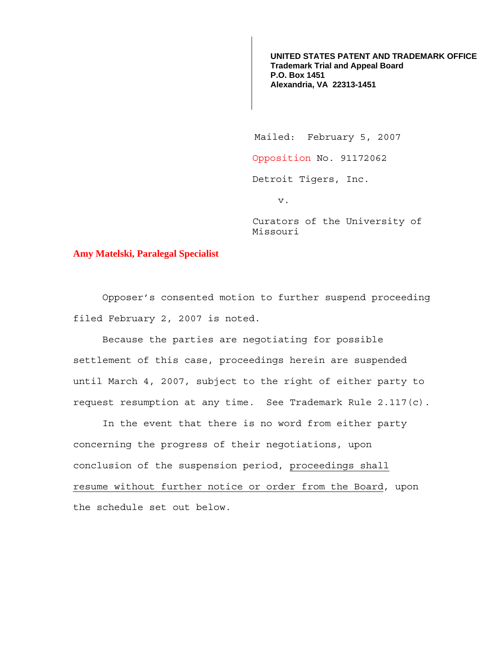**UNITED STATES PATENT AND TRADEMARK OFFICE Trademark Trial and Appeal Board P.O. Box 1451 Alexandria, VA 22313-1451**

Mailed: February 5, 2007

Opposition No. 91172062

Detroit Tigers, Inc.

v.

Curators of the University of Missouri

## **Amy Matelski, Paralegal Specialist**

Opposer's consented motion to further suspend proceeding filed February 2, 2007 is noted.

Because the parties are negotiating for possible settlement of this case, proceedings herein are suspended until March 4, 2007, subject to the right of either party to request resumption at any time. See Trademark Rule 2.117(c).

 In the event that there is no word from either party concerning the progress of their negotiations, upon conclusion of the suspension period, proceedings shall resume without further notice or order from the Board, upon the schedule set out below.